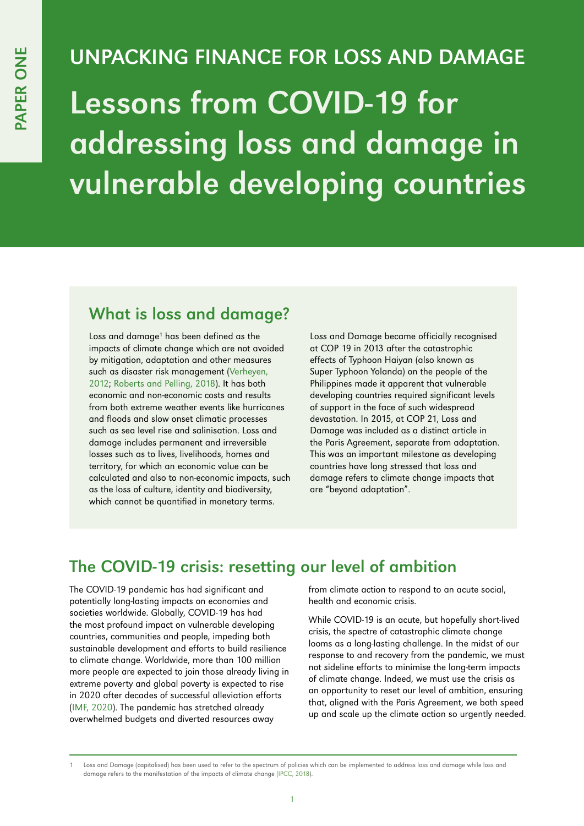# UNPACKING FINANCE FOR LOSS AND DAMAGE Lessons from COVID-19 for addressing loss and damage in vulnerable developing countries

#### What is loss and damage?

Loss and damage<sup>1</sup> has been defined as the impacts of climate change which are not avoided by mitigation, adaptation and other measures such as disaster risk management [\(Verheyen,](http://www.geo.uzh.ch/~chuggel/files_download/phd_colloquium/verheyen_tackling_loss_damage_cdkn12.pdf)  [2012](http://www.geo.uzh.ch/~chuggel/files_download/phd_colloquium/verheyen_tackling_loss_damage_cdkn12.pdf); [Roberts and Pelling, 2018\)](https://www.tandfonline.com/doi/full/10.1080/17565529.2016.1184608). It has both economic and non-economic costs and results from both extreme weather events like hurricanes and floods and slow onset climatic processes such as sea level rise and salinisation. Loss and damage includes permanent and irreversible losses such as to lives, livelihoods, homes and territory, for which an economic value can be calculated and also to non-economic impacts, such as the loss of culture, identity and biodiversity, which cannot be quantified in monetary terms.

Loss and Damage became officially recognised at COP 19 in 2013 after the catastrophic effects of Typhoon Haiyan (also known as Super Typhoon Yolanda) on the people of the Philippines made it apparent that vulnerable developing countries required significant levels of support in the face of such widespread devastation. In 2015, at COP 21, Loss and Damage was included as a distinct article in the Paris Agreement, separate from adaptation. This was an important milestone as developing countries have long stressed that loss and damage refers to climate change impacts that are "beyond adaptation".

## The COVID-19 crisis: resetting our level of ambition

The COVID-19 pandemic has had significant and potentially long-lasting impacts on economies and societies worldwide. Globally, COVID-19 has had the most profound impact on vulnerable developing countries, communities and people, impeding both sustainable development and efforts to build resilience to climate change. Worldwide, more than 100 million more people are expected to join those already living in extreme poverty and global poverty is expected to rise in 2020 after decades of successful alleviation efforts ([IMF, 2020\)](https://www.imf.org/en/Publications/FM/Issues/2020/09/30/october-2020-fiscal-monitor#Full%20Report%20and%20Executive%20Summary). The pandemic has stretched already overwhelmed budgets and diverted resources away

from climate action to respond to an acute social, health and economic crisis.

While COVID-19 is an acute, but hopefully short-lived crisis, the spectre of catastrophic climate change looms as a long-lasting challenge. In the midst of our response to and recovery from the pandemic, we must not sideline efforts to minimise the long-term impacts of climate change. Indeed, we must use the crisis as an opportunity to reset our level of ambition, ensuring that, aligned with the Paris Agreement, we both speed up and scale up the climate action so urgently needed.

Loss and Damage (capitalised) has been used to refer to the spectrum of policies which can be implemented to address loss and damage while loss and damage refers to the manifestation of the impacts of climate change ([IPCC, 2018\)](https://www.ipcc.ch/sr15/chapter/glossary/).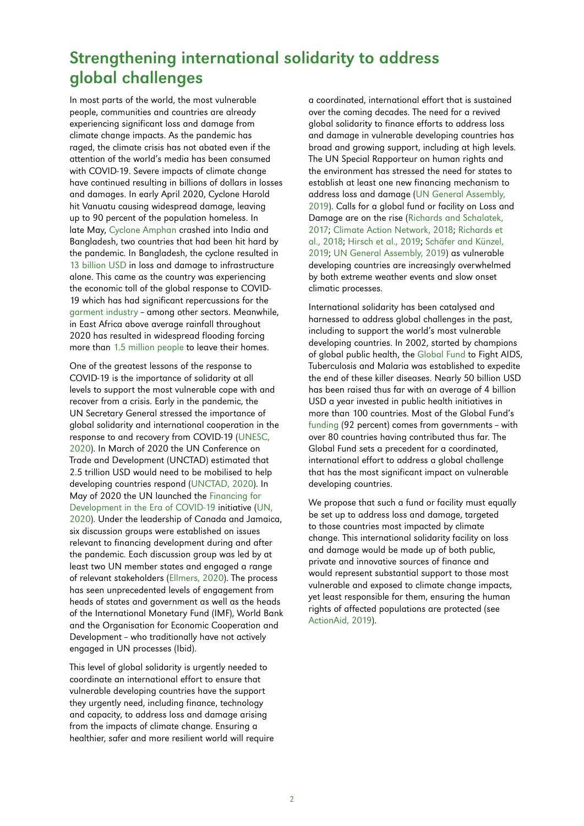### Strengthening international solidarity to address global challenges

In most parts of the world, the most vulnerable people, communities and countries are already experiencing significant loss and damage from climate change impacts. As the pandemic has raged, the climate crisis has not abated even if the attention of the world's media has been consumed with COVID-19. Severe impacts of climate change have continued resulting in billions of dollars in losses and damages. In early April 2020, Cyclone Harold hit Vanuatu causing widespread damage, leaving up to 90 percent of the population homeless. In late May, [Cyclone Amphan](https://www.theguardian.com/global-development/2020/jun/03/fighting-cyclones-and-coronavirus-how-we-evacuated-millions-during-a-pandemic) crashed into India and Bangladesh, two countries that had been hit hard by the pandemic. In Bangladesh, the cyclone resulted in [13 billion USD](https://www.theguardian.com/global-development/2020/jun/03/fighting-cyclones-and-coronavirus-how-we-evacuated-millions-during-a-pandemic) in loss and damage to infrastructure alone. This came as the country was experiencing the economic toll of the global response to COVID-19 which has had significant repercussions for the [garment industry](https://www.careinternational.org.uk/what-impact-covid-19-global-garment-industry) - among other sectors. Meanwhile, in East Africa above average rainfall throughout 2020 has resulted in widespread flooding forcing more than [1.5 million people](https://www.bbc.co.uk/news/world-africa-54433904) to leave their homes.

One of the greatest lessons of the response to COVID-19 is the importance of solidarity at all levels to support the most vulnerable cope with and recover from a crisis. Early in the pandemic, the UN Secretary General stressed the importance of global solidarity and international cooperation in the response to and recovery from COVID-19 [\(UNESC,](https://sustainabledevelopment.un.org/content/documents/26158Final_SG_SDG_Progress_Report_14052020.pdf)  [2020](https://sustainabledevelopment.un.org/content/documents/26158Final_SG_SDG_Progress_Report_14052020.pdf)). In March of 2020 the UN Conference on Trade and Development (UNCTAD) estimated that 2.5 trillion USD would need to be mobilised to help developing countries respond ([UNCTAD, 2020](https://unctad.org/news/un-calls-25-trillion-coronavirus-crisis-package-developing-countries)). In May of 2020 the UN launched the [Financing for](https://www.un.org/en/coronavirus/financing-development)  [Development in the Era of COVID-19](https://www.un.org/en/coronavirus/financing-development) initiative ([UN,](https://www.un.org/sites/un2.un.org/files/part_i-_executive_summary_menu_of_options_financing_for_development_covid19.pdf)  [2020](https://www.un.org/sites/un2.un.org/files/part_i-_executive_summary_menu_of_options_financing_for_development_covid19.pdf)). Under the leadership of Canada and Jamaica, six discussion groups were established on issues relevant to financing development during and after the pandemic. Each discussion group was led by at least two UN member states and engaged a range of relevant stakeholders [\(Ellmers, 2020](https://www.globalpolicy.org/images/pdfs/Briefing_1220_FSD_Covid-1.pdf)). The process has seen unprecedented levels of engagement from heads of states and government as well as the heads of the International Monetary Fund (IMF), World Bank and the Organisation for Economic Cooperation and Development - who traditionally have not actively engaged in UN processes (Ibid).

This level of global solidarity is urgently needed to coordinate an international effort to ensure that vulnerable developing countries have the support they urgently need, including finance, technology and capacity, to address loss and damage arising from the impacts of climate change. Ensuring a healthier, safer and more resilient world will require a coordinated, international effort that is sustained over the coming decades. The need for a revived global solidarity to finance efforts to address loss and damage in vulnerable developing countries has broad and growing support, including at high levels. The UN Special Rapporteur on human rights and the environment has stressed the need for states to establish at least one new financing mechanism to address loss and damage [\(UN General Assembly,](https://documents-dds-ny.un.org/doc/UNDOC/GEN/N19/216/42/PDF/N1921642.pdf?OpenElement)  [2019](https://documents-dds-ny.un.org/doc/UNDOC/GEN/N19/216/42/PDF/N1921642.pdf?OpenElement)). Calls for a global fund or facility on Loss and Damage are on the rise [\(Richards and Schalatek,](https://www.boell.de/sites/default/files/loss_and_damage_finance_paper_update_16_may_2017.pdf)  [2017;](https://www.boell.de/sites/default/files/loss_and_damage_finance_paper_update_16_may_2017.pdf) [Climate Action Network, 2018](https://unfccc.int/sites/default/files/resource/CAN Loss and Damage Submission_ 022018.pdf); [Richards et](https://www.stampoutpoverty.org/live2019/wp-content/uploads/2019/06/CDT_guide_web23.pdf)  [al., 2018;](https://www.stampoutpoverty.org/live2019/wp-content/uploads/2019/06/CDT_guide_web23.pdf) [Hirsch et al., 2019;](https://www.lutheranworld.org/sites/default/files/2019/documents/climatefinance_lossdamage.pdf) [Schäfer and Künzel,](https://www.germanwatch.org/sites/germanwatch.org/files/Policy Briefing_Steps towards closing the Loss%26Damage finance gap_0.pdf)  [2019](https://www.germanwatch.org/sites/germanwatch.org/files/Policy Briefing_Steps towards closing the Loss%26Damage finance gap_0.pdf); [UN General Assembly, 2019\)](https://documents-dds-ny.un.org/doc/UNDOC/GEN/G19/355/14/PDF/G1935514.pdf?OpenElement) as vulnerable developing countries are increasingly overwhelmed by both extreme weather events and slow onset climatic processes.

International solidarity has been catalysed and harnessed to address global challenges in the past, including to support the world's most vulnerable developing countries. In 2002, started by champions of global public health, the [Global Fund](https://www.theglobalfund.org/en/) to Fight AIDS, Tuberculosis and Malaria was established to expedite the end of these killer diseases. Nearly 50 billion USD has been raised thus far with an average of 4 billion USD a year invested in public health initiatives in more than 100 countries. Most of the Global Fund's [funding](https://www.theglobalfund.org/en/replenishment/) (92 percent) comes from governments - with over 80 countries having contributed thus far. The Global Fund sets a precedent for a coordinated, international effort to address a global challenge that has the most significant impact on vulnerable developing countries.

We propose that such a fund or facility must equally be set up to address loss and damage, targeted to those countries most impacted by climate change. This international solidarity facility on loss and damage would be made up of both public, private and innovative sources of finance and would represent substantial support to those most vulnerable and exposed to climate change impacts, yet least responsible for them, ensuring the human rights of affected populations are protected (see [ActionAid, 2019](https://actionaid.org/news/2019/market-mechanisms-loss-and-damage-climate-finance-fail-human-rights-test)).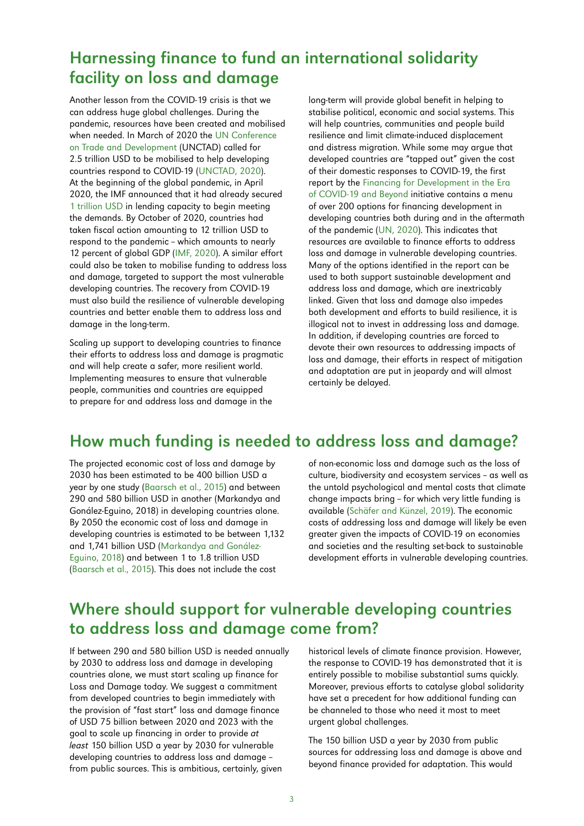#### Harnessing finance to fund an international solidarity facility on loss and damage

Another lesson from the COVID-19 crisis is that we can address huge global challenges. During the pandemic, resources have been created and mobilised when needed. In March of 2020 the [UN Conference](https://unctad.org/news/un-calls-25-trillion-coronavirus-crisis-package-developing-countries)  [on Trade and Development](https://unctad.org/news/un-calls-25-trillion-coronavirus-crisis-package-developing-countries) (UNCTAD) called for 2.5 trillion USD to be mobilised to help developing countries respond to COVID-19 ([UNCTAD, 2020](https://unctad.org/news/un-calls-25-trillion-coronavirus-crisis-package-developing-countries)). At the beginning of the global pandemic, in April 2020, the IMF announced that it had already secured 1 [trillion USD](https://www.imf.org/en/News/Articles/2020/04/07/sp040920-SMs2020-Curtain-Raiser) in lending capacity to begin meeting the demands. By October of 2020, countries had taken fiscal action amounting to 12 trillion USD to respond to the pandemic - which amounts to nearly 12 percent of global GDP ([IMF, 2020\)](https://www.imf.org/en/Publications/FM/Issues/2020/09/30/october-2020-fiscal-monitor#Full%20Report%20and%20Executive%20Summary). A similar effort could also be taken to mobilise funding to address loss and damage, targeted to support the most vulnerable developing countries. The recovery from COVID-19 must also build the resilience of vulnerable developing countries and better enable them to address loss and damage in the long-term.

Scaling up support to developing countries to finance their efforts to address loss and damage is pragmatic and will help create a safer, more resilient world. Implementing measures to ensure that vulnerable people, communities and countries are equipped to prepare for and address loss and damage in the

long-term will provide global benefit in helping to stabilise political, economic and social systems. This will help countries, communities and people build resilience and limit climate-induced displacement and distress migration. While some may argue that developed countries are "tapped out" given the cost of their domestic responses to COVID-19, the first report by the [Financing for Development in the Era](https://www.un.org/en/coronavirus/financing-development)  [of COVID-19 and Beyond](https://www.un.org/en/coronavirus/financing-development) initiative contains a menu of over 200 options for financing development in developing countries both during and in the aftermath of the pandemic ([UN, 2020](https://www.un.org/en/coronavirus/financing-development)). This indicates that resources are available to finance efforts to address loss and damage in vulnerable developing countries. Many of the options identified in the report can be used to both support sustainable development and address loss and damage, which are inextricably linked. Given that loss and damage also impedes both development and efforts to build resilience, it is illogical not to invest in addressing loss and damage. In addition, if developing countries are forced to devote their own resources to addressing impacts of loss and damage, their efforts in respect of mitigation and adaptation are put in jeopardy and will almost certainly be delayed.

#### How much funding is needed to address loss and damage?

The projected economic cost of loss and damage by 2030 has been estimated to be 400 billion USD a year by one study [\(Baarsch et al., 2015](https://oxfamilibrary.openrepository.com/bitstream/handle/10546/582427/rr-impacts-low-aggregate-indcs-ambition-251115-en.pdf;jsessionid=C2BF26E9CF0705630671F3821B7C7AE9?sequence=1)) and between 290 and 580 billion USD in another (Markandya and Gonález-Eguino, 2018) in developing countries alone. By 2050 the economic cost of loss and damage in developing countries is estimated to be between 1,132 and 1,741 billion USD [\(Markandya and Gonález-](https://link.springer.com/book/10.1007%2F978-3-319-72026-5)[Eguino, 2018\)](https://link.springer.com/book/10.1007%2F978-3-319-72026-5) and between 1 to 1.8 trillion USD ([Baarsch et al., 2015](https://oxfamilibrary.openrepository.com/bitstream/handle/10546/582427/rr-impacts-low-aggregate-indcs-ambition-251115-en.pdf;jsessionid=C2BF26E9CF0705630671F3821B7C7AE9?sequence=1)). This does not include the cost

of non-economic loss and damage such as the loss of culture, biodiversity and ecosystem services - as well as the untold psychological and mental costs that climate change impacts bring - for which very little funding is available [\(Schäfer and Künzel, 2019](https://www.germanwatch.org/sites/germanwatch.org/files/Policy Briefing_Steps towards closing the Loss%26Damage finance gap_0.pdf)). The economic costs of addressing loss and damage will likely be even greater given the impacts of COVID-19 on economies and societies and the resulting set-back to sustainable development efforts in vulnerable developing countries.

#### Where should support for vulnerable developing countries to address loss and damage come from?

If between 290 and 580 billion USD is needed annually by 2030 to address loss and damage in developing countries alone, we must start scaling up finance for Loss and Damage today. We suggest a commitment from developed countries to begin immediately with the provision of "fast start" loss and damage finance of USD 75 billion between 2020 and 2023 with the goal to scale up financing in order to provide at least 150 billion USD a year by 2030 for vulnerable developing countries to address loss and damage from public sources. This is ambitious, certainly, given

historical levels of climate finance provision. However, the response to COVID-19 has demonstrated that it is entirely possible to mobilise substantial sums quickly. Moreover, previous efforts to catalyse global solidarity have set a precedent for how additional funding can be channeled to those who need it most to meet urgent global challenges.

The 150 billion USD a year by 2030 from public sources for addressing loss and damage is above and beyond finance provided for adaptation. This would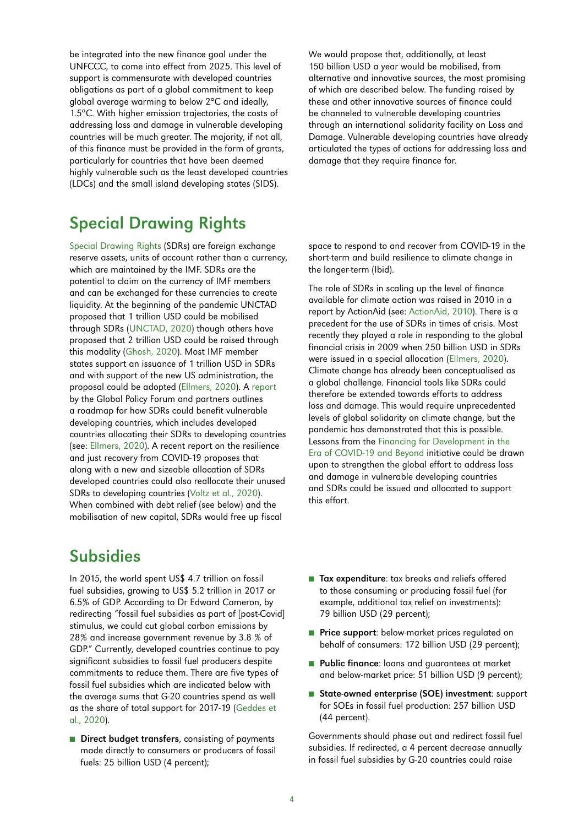be integrated into the new finance goal under the UNFCCC, to come into effect from 2025. This level of support is commensurate with developed countries obligations as part of a global commitment to keep global average warming to below 2°C and ideally, 1.5°C. With higher emission trajectories, the costs of addressing loss and damage in vulnerable developing countries will be much greater. The majority, if not all, of this finance must be provided in the form of grants, particularly for countries that have been deemed highly vulnerable such as the least developed countries (LDCs) and the small island developing states (SIDS).

We would propose that, additionally, at least 150 billion USD a year would be mobilised, from alternative and innovative sources, the most promising of which are described below. The funding raised by these and other innovative sources of finance could be channeled to vulnerable developing countries through an international solidarity facility on Loss and Damage. Vulnerable developing countries have already articulated the types of actions for addressing loss and damage that they require finance for.

#### Special Drawing Rights

[Special Drawing Rights](https://www.imf.org/en/About/Factsheets/Sheets/2016/08/01/14/51/Special-Drawing-Right-SDR) (SDRs) are foreign exchange reserve assets, units of account rather than a currency, which are maintained by the IMF. SDRs are the potential to claim on the currency of IMF members and can be exchanged for these currencies to create liquidity. At the beginning of the pandemic UNCTAD proposed that 1 trillion USD could be mobilised through SDRs ([UNCTAD, 2020](https://unctad.org/news/un-calls-25-trillion-coronavirus-crisis-package-developing-countries)) though others have proposed that 2 trillion USD could be raised through this modality [\(Ghosh, 2020\)](https://www.gi-escr.org/blog/the-imf-role-in-preventing-a-human-rights-catastrophe-the-crying-need-for-a-new-sdr-issue). Most IMF member states support an issuance of 1 trillion USD in SDRs and with support of the new US administration, the proposal could be adopted (Ellmers, 2020). A [report](https://www.globalpolicy.org/images/pdfs/Briefing_1220_FSD_Covid-1.pdf) by the Global Policy Forum and partners outlines a roadmap for how SDRs could benefit vulnerable developing countries, which includes developed countries allocating their SDRs to developing countries (see: [Ellmers, 2020](https://www.globalpolicy.org/images/pdfs/Briefing_1220_FSD_Covid-1.pdf)). A recent report on the resilience and just recovery from COVID-19 proposes that along with a new and sizeable allocation of SDRs developed countries could also reallocate their unused SDRs to developing countries ([Voltz et al., 2020\)](https://www.boell.de/sites/default/files/2020-11/Debt-Relief-for-a-Green-and-Inclusive-Recovery-report.pdf?dimension1=division_ip). When combined with debt relief (see below) and the mobilisation of new capital, SDRs would free up fiscal

### Subsidies

In 2015, the world spent US\$ 4.7 trillion on fossil fuel subsidies, growing to US\$ 5.2 trillion in 2017 or 6.5% of GDP. According to Dr Edward Cameron, by redirecting "fossil fuel subsidies as part of [post-Covid] stimulus, we could cut global carbon emissions by 28% and increase government revenue by 3.8 % of GDP." Currently, developed countries continue to pay significant subsidies to fossil fuel producers despite commitments to reduce them. There are five types of fossil fuel subsidies which are indicated below with the average sums that G-20 countries spend as well as the share of total support for 2017-19 ([Geddes et](https://www.iisd.org/system/files/2020-11/g20-scorecard-report.pdf)  al., [2020\)](https://www.iisd.org/system/files/2020-11/g20-scorecard-report.pdf).

■ Direct budget transfers, consisting of payments made directly to consumers or producers of fossil fuels: 25 billion USD (4 percent);

space to respond to and recover from COVID-19 in the short-term and build resilience to climate change in the longer-term (Ibid).

The role of SDRs in scaling up the level of finance available for climate action was raised in 2010 in a report by ActionAid (see: [ActionAid, 2010\)](http://environmentportal.in/files/sdr_for_climate_finance.pdf). There is a precedent for the use of SDRs in times of crisis. Most recently they played a role in responding to the global financial crisis in 2009 when 250 billion USD in SDRs were issued in a special allocation [\(Ellmers, 2020\)](https://www.globalpolicy.org/images/pdfs/Briefing_1220_FSD_Covid-1.pdf). Climate change has already been conceptualised as a global challenge. Financial tools like SDRs could therefore be extended towards efforts to address loss and damage. This would require unprecedented levels of global solidarity on climate change, but the pandemic has demonstrated that this is possible. Lessons from the [Financing for Development in the](https://www.un.org/en/coronavirus/financing-development)  [Era of COVID-19 and Beyond](https://www.un.org/en/coronavirus/financing-development) initiative could be drawn upon to strengthen the global effort to address loss and damage in vulnerable developing countries and SDRs could be issued and allocated to support this effort.

- Tax expenditure: tax breaks and reliefs offered to those consuming or producing fossil fuel (for example, additional tax relief on investments): 79 billion USD (29 percent);
- Price support: below-market prices regulated on behalf of consumers: 172 billion USD (29 percent);
- Public finance: loans and quarantees at market and below-market price: 51 billion USD (9 percent);
- State-owned enterprise (SOE) investment: support for SOEs in fossil fuel production: 257 billion USD (44 percent).

Governments should phase out and redirect fossil fuel subsidies. If redirected, a 4 percent decrease annually in fossil fuel subsidies by G-20 countries could raise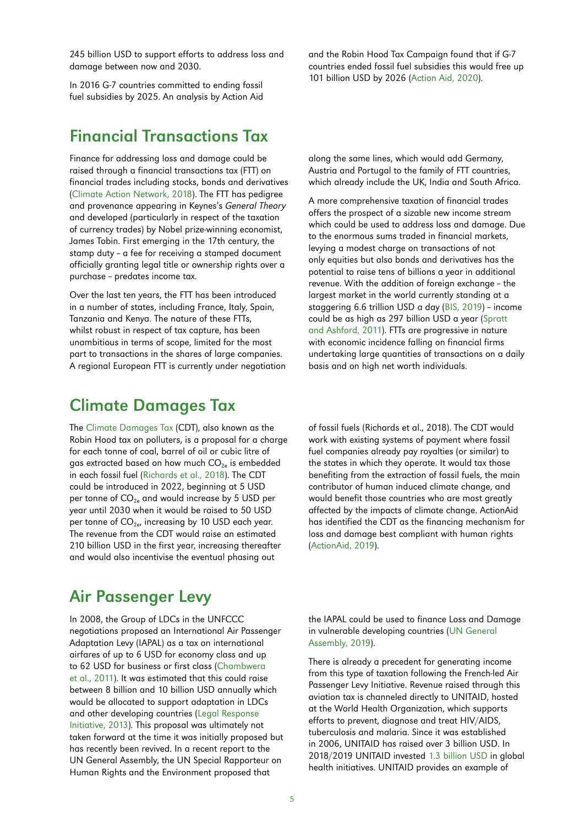245 billion USD to support efforts to address loss and damage between now and 2030.

In 2016 G-7 countries committed to ending fossil fuel subsidies by 2025. An analysis by Action Aid

#### Financial Transactions Tax

Finance for addressing loss and damage could be raised through a financial transactions tax (FTT) on financial trades including stocks, bonds and derivatives ([Climate Action Network, 2018\)](https://unfccc.int/sites/default/files/resource/CAN Loss and Damage Submission_ 022018.pdf). The FTT has pedigree and provenance appearing in Keynes's General Theory and developed (particularly in respect of the taxation of currency trades) by Nobel prize-winning economist, James Tobin. First emerging in the 17th century, the stamp duty - a fee for receiving a stamped document officially granting legal title or ownership rights over a purchase - predates income tax.

Over the last ten years, the FTT has been introduced in a number of states, including France, Italy, Spain, Tanzania and Kenya. The nature of these FTTs, whilst robust in respect of tax capture, has been unambitious in terms of scope, limited for the most part to transactions in the shares of large companies. A regional European FTT is currently under negotiation and the Robin Hood Tax Campaign found that if G-7 countries ended fossil fuel subsidies this would free up 101 billion USD by 2026 [\(Action Aid, 2020\)](https://actionaid.org/news/2020/climate-ambition-summit-glaring-gap-support-global-south).

along the same lines, which would add Germany, Austria and Portugal to the family of FTT countries, which already include the UK, India and South Africa.

A more comprehensive taxation of financial trades offers the prospect of a sizable new income stream which could be used to address loss and damage. Due to the enormous sums traded in financial markets, levying a modest charge on transactions of not only equities but also bonds and derivatives has the potential to raise tens of billions a year in additional revenue. With the addition of foreign exchange - the largest market in the world currently standing at a staggering 6.6 trillion USD a day ([BIS, 2019\)](https://www.bis.org/statistics/rpfx19_fx.pdf) - income could be as high as 297 billion USD a year ([Spratt](http://www.gci.org.uk/Documents/Climate_Finance_.pdf)  [and Ashford, 2011](http://www.gci.org.uk/Documents/Climate_Finance_.pdf)). FTTs are progressive in nature with economic incidence falling on financial firms undertaking large quantities of transactions on a daily basis and on high net worth individuals.

#### Climate Damages Tax

The [Climate Damages Tax](https://www.stampoutpoverty.org/climate-damages-tax/) (CDT), also known as the Robin Hood tax on polluters, is a proposal for a charge for each tonne of coal, barrel of oil or cubic litre of gas extracted based on how much  $CO_{2e}$  is embedded in each fossil fuel ([Richards et al., 2018](https://www.stampoutpoverty.org/live2019/wp-content/uploads/2019/06/CDT_guide_web23.pdf)). The CDT could be introduced in 2022, beginning at 5 USD per tonne of  $CO_{2e}$  and would increase by 5 USD per year until 2030 when it would be raised to 50 USD per tonne of  $CO_{2e}$ , increasing by 10 USD each year. The revenue from the CDT would raise an estimated 210 billion USD in the first year, increasing thereafter and would also incentivise the eventual phasing out

of fossil fuels (Richards et al., 2018). The CDT would work with existing systems of payment where fossil fuel companies already pay royalties (or similar) to the states in which they operate. It would tax those benefiting from the extraction of fossil fuels, the main contributor of human induced climate change, and would benefit those countries who are most greatly affected by the impacts of climate change. ActionAid has identified the CDT as the financing mechanism for loss and damage best compliant with human rights [\(ActionAid, 2019\)](https://actionaid.org/news/2019/market-mechanisms-loss-and-damage-climate-finance-fail-human-rights-test).

#### Air Passenger Levy

In 2008, the Group of LDCs in the UNFCCC negotiations proposed an International Air Passenger Adaptation Levy (IAPAL) as a tax on international airfares of up to 6 USD for economy class and up to 62 USD for business or first class [\(Chambwera](https://www.ldc-climate.org/wp-content/uploads/2018/02/LDC-paper-series-17.pdf)  [et al., 2011\)](https://www.ldc-climate.org/wp-content/uploads/2018/02/LDC-paper-series-17.pdf). It was estimated that this could raise between 8 billion and 10 billion USD annually which would be allocated to support adaptation in LDCs and other developing countries ([Legal Response](https://legalresponse.org/wp-content/uploads/2013/09/BP47E-Briefing-Paper-IAPAL-16-July-2013.pdf)  [Initiative, 2013\)](https://legalresponse.org/wp-content/uploads/2013/09/BP47E-Briefing-Paper-IAPAL-16-July-2013.pdf). This proposal was ultimately not taken forward at the time it was initially proposed but has recently been revived. In a recent report to the UN General Assembly, the UN Special Rapporteur on Human Rights and the Environment proposed that

the IAPAL could be used to finance Loss and Damage in vulnerable developing countries [\(UN General](https://documents-dds-ny.un.org/doc/UNDOC/GEN/G19/355/14/PDF/G1935514.pdf?OpenElement)  [Assembly, 2019\)](https://documents-dds-ny.un.org/doc/UNDOC/GEN/G19/355/14/PDF/G1935514.pdf?OpenElement).

There is already a precedent for generating income from this type of taxation following the French-led Air Passenger Levy Initiative. Revenue raised through this aviation tax is channeled directly to UNITAID, hosted at the World Health Organization, which supports efforts to prevent, diagnose and treat HIV/AIDS, tuberculosis and malaria. Since it was established in 2006, UNITAID has raised over 3 billion USD. In 2018/2019 UNITAID invested [1.3 billion USD](https://unitaid.org/annual-report-18-19/) in global health initiatives. UNITAID provides an example of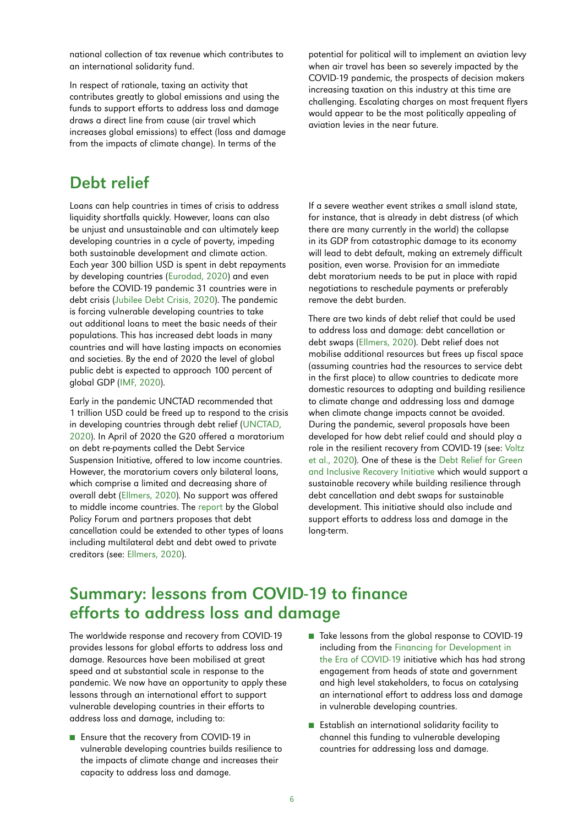national collection of tax revenue which contributes to an international solidarity fund.

In respect of rationale, taxing an activity that contributes greatly to global emissions and using the funds to support efforts to address loss and damage draws a direct line from cause (air travel which increases global emissions) to effect (loss and damage from the impacts of climate change). In terms of the

#### Debt relief

Loans can help countries in times of crisis to address liquidity shortfalls quickly. However, loans can also be unjust and unsustainable and can ultimately keep developing countries in a cycle of poverty, impeding both sustainable development and climate action. Each year 300 billion USD is spent in debt repayments by developing countries ([Eurodad, 2020\)](https://www.eurodad.org/global_week_of_action_on_debt_cancellation) and even before the COVID-19 pandemic 31 countries were in debt crisis [\(Jubilee Debt Crisis, 2020\)](https://jubileedebt.org.uk/countries-in-crisis). The pandemic is forcing vulnerable developing countries to take out additional loans to meet the basic needs of their populations. This has increased debt loads in many countries and will have lasting impacts on economies and societies. By the end of 2020 the level of global public debt is expected to approach 100 percent of global GDP [\(IMF, 2020\)](https://www.imf.org/en/Publications/FM/Issues/2020/09/30/october-2020-fiscal-monitor#Full%20Report%20and%20Executive%20Summary).

Early in the pandemic UNCTAD recommended that 1 trillion USD could be freed up to respond to the crisis in developing countries through debt relief ([UNCTAD,](https://unctad.org/news/un-calls-25-trillion-coronavirus-crisis-package-developing-countries)  [2020](https://unctad.org/news/un-calls-25-trillion-coronavirus-crisis-package-developing-countries)). In April of 2020 the G20 offered a moratorium on debt re-payments called the Debt Service Suspension Initiative, offered to low income countries. However, the moratorium covers only bilateral loans, which comprise a limited and decreasing share of overall debt ([Ellmers, 2020](https://www.globalpolicy.org/images/pdfs/Briefing_1220_FSD_Covid-1.pdf)). No support was offered to middle income countries. The [report](https://www.globalpolicy.org/images/pdfs/Briefing_1220_FSD_Covid-1.pdf) by the Global Policy Forum and partners proposes that debt cancellation could be extended to other types of loans including multilateral debt and debt owed to private creditors (see: [Ellmers,](https://www.globalpolicy.org/images/pdfs/Briefing_1220_FSD_Covid-1.pdf) 2020).

potential for political will to implement an aviation levy when air travel has been so severely impacted by the COVID-19 pandemic, the prospects of decision makers increasing taxation on this industry at this time are challenging. Escalating charges on most frequent flyers would appear to be the most politically appealing of aviation levies in the near future.

If a severe weather event strikes a small island state, for instance, that is already in debt distress (of which there are many currently in the world) the collapse in its GDP from catastrophic damage to its economy will lead to debt default, making an extremely difficult position, even worse. Provision for an immediate debt moratorium needs to be put in place with rapid negotiations to reschedule payments or preferably remove the debt burden.

There are two kinds of debt relief that could be used to address loss and damage: debt cancellation or debt swaps ([Ellmers, 2020\)](https://www.globalpolicy.org/images/pdfs/Briefing_1220_FSD_Covid-1.pdf). Debt relief does not mobilise additional resources but frees up fiscal space (assuming countries had the resources to service debt in the first place) to allow countries to dedicate more domestic resources to adapting and building resilience to climate change and addressing loss and damage when climate change impacts cannot be avoided. During the pandemic, several proposals have been developed for how debt relief could and should play a role in the resilient recovery from COVID-19 (see: [Voltz](https://www.boell.de/sites/default/files/2020-11/Debt-Relief-for-a-Green-and-Inclusive-Recovery-report.pdf?dimension1=division_ip)  [et al., 2020](https://www.boell.de/sites/default/files/2020-11/Debt-Relief-for-a-Green-and-Inclusive-Recovery-report.pdf?dimension1=division_ip)). One of these is the [Debt Relief for Green](https://drgr.org/)  [and Inclusive Recovery Initiative](https://drgr.org/) which would support a sustainable recovery while building resilience through debt cancellation and debt swaps for sustainable development. This initiative should also include and support efforts to address loss and damage in the long-term.

#### Summary: lessons from COVID-19 to finance efforts to address loss and damage

The worldwide response and recovery from COVID-19 provides lessons for global efforts to address loss and damage. Resources have been mobilised at great speed and at substantial scale in response to the pandemic. We now have an opportunity to apply these lessons through an international effort to support vulnerable developing countries in their efforts to address loss and damage, including to:

- Ensure that the recovery from COVID-19 in vulnerable developing countries builds resilience to the impacts of climate change and increases their capacity to address loss and damage.
- Take lessons from the global response to COVID-19 including from the [Financing for Development in](https://www.un.org/en/coronavirus/financing-development)  [the Era of COVID-19](https://www.un.org/en/coronavirus/financing-development) initiative which has had strong engagement from heads of state and government and high level stakeholders, to focus on catalysing an international effort to address loss and damage in vulnerable developing countries.
- Establish an international solidarity facility to channel this funding to vulnerable developing countries for addressing loss and damage.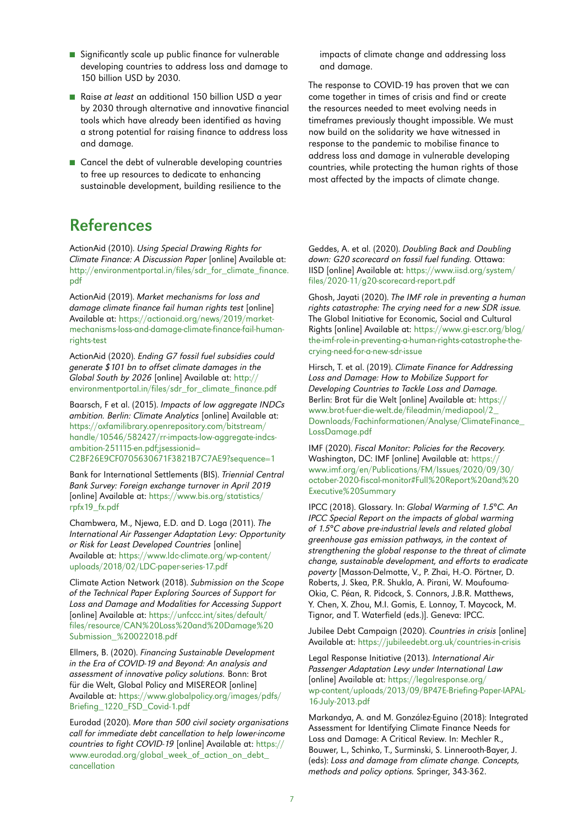- Significantly scale up public finance for vulnerable developing countries to address loss and damage to 150 billion USD by 2030.
- Raise at least an additional 150 billion USD a year by 2030 through alternative and innovative financial tools which have already been identified as having a strong potential for raising finance to address loss and damage.
- Cancel the debt of vulnerable developing countries to free up resources to dedicate to enhancing sustainable development, building resilience to the

#### References

ActionAid (2010). Using Special Drawing Rights for Climate Finance: A Discussion Paper [online] Available at: [http://environmentportal.in/files/sdr\\_for\\_climate\\_finance.](http://environmentportal.in/files/sdr_for_climate_finance.pdf) [pdf](http://environmentportal.in/files/sdr_for_climate_finance.pdf)

ActionAid (2019). Market mechanisms for loss and damage climate finance fail human rights test [online] Available at: [https://actionaid.org/news/2019/market](https://actionaid.org/news/2019/market-mechanisms-loss-and-damage-climate-finance-fail-human-rights-test)[mechanisms-loss-and-damage-climate-finance-fail-human](https://actionaid.org/news/2019/market-mechanisms-loss-and-damage-climate-finance-fail-human-rights-test)[rights-test](https://actionaid.org/news/2019/market-mechanisms-loss-and-damage-climate-finance-fail-human-rights-test)

ActionAid (2020). Ending G7 fossil fuel subsidies could generate \$101 bn to offset climate damages in the Global South by 2026 [online] Available at: [http://](http://environmentportal.in/files/sdr_for_climate_finance.pdf) [environmentportal.in/files/sdr\\_for\\_climate\\_finance.pdf](http://environmentportal.in/files/sdr_for_climate_finance.pdf)

Baarsch, F et al. (2015). Impacts of low aggregate INDCs ambition. Berlin: Climate Analytics [online] Available at: [https://oxfamilibrary.openrepository.com/bitstream/](https://oxfamilibrary.openrepository.com/bitstream/handle/10546/582427/rr-impacts-low-aggregate-indcs-ambition-251115-en.pdf;
jsessionid=C2BF26E9CF0705630671F3821B7C7AE9?
sequence=1) [handle/10546/582427/rr-impacts-low-aggregate-indcs](https://oxfamilibrary.openrepository.com/bitstream/handle/10546/582427/rr-impacts-low-aggregate-indcs-ambition-251115-en.pdf;
jsessionid=C2BF26E9CF0705630671F3821B7C7AE9?
sequence=1)[ambition-251115-en.pdf;jsessionid=](https://oxfamilibrary.openrepository.com/bitstream/handle/10546/582427/rr-impacts-low-aggregate-indcs-ambition-251115-en.pdf;
jsessionid=C2BF26E9CF0705630671F3821B7C7AE9?
sequence=1) [C2BF26E9CF0705630671F3821B7C7AE9?sequence=1](https://oxfamilibrary.openrepository.com/bitstream/handle/10546/582427/rr-impacts-low-aggregate-indcs-ambition-251115-en.pdf;
jsessionid=C2BF26E9CF0705630671F3821B7C7AE9?
sequence=1)

Bank for International Settlements (BIS). Triennial Central Bank Survey: Foreign exchange turnover in April 2019 [online] Available at: [https://www.bis.org/statistics/](https://www.bis.org/statistics/rpfx19_fx.pdf) [rpfx19\\_fx.pdf](https://www.bis.org/statistics/rpfx19_fx.pdf)

Chambwera, M., Njewa, E.D. and D. Loga (2011). The International Air Passenger Adaptation Levy: Opportunity or Risk for Least Developed Countries [online] Available at: [https://www.ldc-climate.org/wp-content/](https://www.ldc-climate.org/wp-content/uploads/2018/02/LDC-paper-series-17.pdf) [uploads/2018/02/LDC-paper-series-17.pdf](https://www.ldc-climate.org/wp-content/uploads/2018/02/LDC-paper-series-17.pdf)

Climate Action Network (2018). Submission on the Scope of the Technical Paper Exploring Sources of Support for Loss and Damage and Modalities for Accessing Support [online] Available at: [https://unfccc.int/sites/default/](https://unfccc.int/sites/default/files/resource/CAN%20Loss%20and%20Damage%20Submission_%20022018.pdf) [files/resource/CAN%20Loss%20and%20Damage%20](https://unfccc.int/sites/default/files/resource/CAN%20Loss%20and%20Damage%20Submission_%20022018.pdf) [Submission\\_%20022018.pdf](https://unfccc.int/sites/default/files/resource/CAN%20Loss%20and%20Damage%20Submission_%20022018.pdf)

Ellmers, B. (2020). Financing Sustainable Development in the Era of COVID-19 and Beyond: An analysis and assessment of innovative policy solutions. Bonn: Brot für die Welt, Global Policy and MISEREOR [online] Available at: [https://www.globalpolicy.org/images/pdfs/](https://www.globalpolicy.org/images/pdfs/Briefing_1220_FSD_Covid-1.pdf) [Briefing\\_1220\\_FSD\\_Covid-1.pdf](https://www.globalpolicy.org/images/pdfs/Briefing_1220_FSD_Covid-1.pdf)

Eurodad (2020). More than 500 civil society organisations call for immediate debt cancellation to help lower-income countries to fight COVID-19 [online] Available at: [https://](https://www.eurodad.org/global_week_of_action_on_debt_cancellation) [www.eurodad.org/global\\_week\\_of\\_action\\_on\\_debt\\_](https://www.eurodad.org/global_week_of_action_on_debt_cancellation) [cancellation](https://www.eurodad.org/global_week_of_action_on_debt_cancellation)

impacts of climate change and addressing loss and damage.

The response to COVID-19 has proven that we can come together in times of crisis and find or create the resources needed to meet evolving needs in timeframes previously thought impossible. We must now build on the solidarity we have witnessed in response to the pandemic to mobilise finance to address loss and damage in vulnerable developing countries, while protecting the human rights of those most affected by the impacts of climate change.

Geddes, A. et al. (2020). Doubling Back and Doubling down: G20 scorecard on fossil fuel funding. Ottawa: IISD [online] Available at: [https://www.iisd.org/system/](https://www.iisd.org/system/files/2020-11/g20-scorecard-report.pdf) [files/2020-11/g20-scorecard-report.pdf](https://www.iisd.org/system/files/2020-11/g20-scorecard-report.pdf)

Ghosh, Jayati (2020). The IMF role in preventing a human rights catastrophe: The crying need for a new SDR issue. The Global Initiative for Economic, Social and Cultural Rights [online] Available at: [https://www.gi-escr.org/blog/](https://www.gi-escr.org/blog/the-imf-role-in-preventing-a-human-rights-catastrophe-the-crying-need-for-a-new-sdr-issue) [the-imf-role-in-preventing-a-human-rights-catastrophe-the](https://www.gi-escr.org/blog/the-imf-role-in-preventing-a-human-rights-catastrophe-the-crying-need-for-a-new-sdr-issue)[crying-need-for-a-new-sdr-issue](https://www.gi-escr.org/blog/the-imf-role-in-preventing-a-human-rights-catastrophe-the-crying-need-for-a-new-sdr-issue)

Hirsch, T. et al. (2019). Climate Finance for Addressing Loss and Damage: How to Mobilize Support for Developing Countries to Tackle Loss and Damage. Berlin: Brot für die Welt [online] Available at: [https://](https://www.brot-fuer-die-welt.de/fileadmin/mediapool/2_Downloads/Fachinformationen/Analyse/ClimateFinance_LossDamage.pdf) [www.brot-fuer-die-welt.de/fileadmin/mediapool/2\\_](https://www.brot-fuer-die-welt.de/fileadmin/mediapool/2_Downloads/Fachinformationen/Analyse/ClimateFinance_LossDamage.pdf) [Downloads/Fachinformationen/Analyse/ClimateFinance\\_](https://www.brot-fuer-die-welt.de/fileadmin/mediapool/2_Downloads/Fachinformationen/Analyse/ClimateFinance_LossDamage.pdf) [LossDamage.pdf](https://www.brot-fuer-die-welt.de/fileadmin/mediapool/2_Downloads/Fachinformationen/Analyse/ClimateFinance_LossDamage.pdf)

IMF (2020). Fiscal Monitor: Policies for the Recovery. Washington, DC: IMF [online] Available at: [https://](https://www.imf.org/en/Publications/FM/Issues/2020/09/30/october-2020-fiscal-monitor#Full%20Report%20and%20Executive%20Summary) [www.imf.org/en/Publications/FM/Issues/2020/09/30/](https://www.imf.org/en/Publications/FM/Issues/2020/09/30/october-2020-fiscal-monitor#Full%20Report%20and%20Executive%20Summary) [october-2020-fiscal-monitor#Full%20Report%20and%20](https://www.imf.org/en/Publications/FM/Issues/2020/09/30/october-2020-fiscal-monitor#Full%20Report%20and%20Executive%20Summary) [Executive%20Summary](https://www.imf.org/en/Publications/FM/Issues/2020/09/30/october-2020-fiscal-monitor#Full%20Report%20and%20Executive%20Summary)

IPCC (2018). Glossary. In: Global Warming of 1.5°C. An IPCC Special Report on the impacts of global warming of 1.5°C above pre-industrial levels and related global greenhouse gas emission pathways, in the context of strengthening the global response to the threat of climate change, sustainable development, and efforts to eradicate poverty [Masson-Delmotte, V., P. Zhai, H.-O. Pörtner, D. Roberts, J. Skea, P.R. Shukla, A. Pirani, W. Moufouma-Okia, C. Péan, R. Pidcock, S. Connors, J.B.R. Matthews, Y. Chen, X. Zhou, M.I. Gomis, E. Lonnoy, T. Maycock, M. Tignor, and T. Waterfield (eds.)]. Geneva: IPCC.

Jubilee Debt Campaian (2020). Countries in crisis [online] Available at: <https://jubileedebt.org.uk/countries-in-crisis>

Legal Response Initiative (2013). International Air Passenger Adaptation Levy under International Law [online] Available at: [https://legalresponse.org/](https://legalresponse.org/wp-content/uploads/2013/09/BP47E-Briefing-Paper-IAPAL-16-July-2013.pdf) [wp-content/uploads/2013/09/BP47E-Briefing-Paper-IAPAL-](https://legalresponse.org/wp-content/uploads/2013/09/BP47E-Briefing-Paper-IAPAL-16-July-2013.pdf)[16-July-2013.pdf](https://legalresponse.org/wp-content/uploads/2013/09/BP47E-Briefing-Paper-IAPAL-16-July-2013.pdf)

Markandya, A. and M. González-Eguino (2018): Integrated Assessment for Identifying Climate Finance Needs for Loss and Damage: A Critical Review. In: Mechler R., Bouwer, L., Schinko, T., Surminski, S. Linnerooth-Bayer, J. (eds): Loss and damage from climate change. Concepts, methods and policy options. Springer, 343-362.